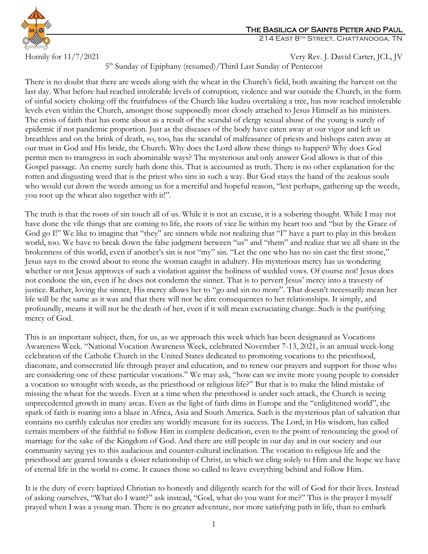

## The Basilica of Saints Peter and Paul

214 East 8th Street, Chattanooga, TN

Homily for 11/7/2021 Very Rev. J. David Carter, JCL, JV

5<sup>th</sup> Sunday of Epiphany (resumed)/Third Last Sunday of Pentecost

There is no doubt that there are weeds along with the wheat in the Church's field, both awaiting the harvest on the last day. What before had reached intolerable levels of corruption, violence and war outside the Church, in the form of sinful society choking off the fruitfulness of the Church like kudzu overtaking a tree, has now reached intolerable levels even within the Church, amongst those supposedly most closely attached to Jesus Himself as his ministers. The crisis of faith that has come about as a result of the scandal of clergy sexual abuse of the young is surely of epidemic if not pandemic proportion. Just as the diseases of the body have eaten away at our vigor and left us breathless and on the brink of death, so, too, has the scandal of malfeasance of priests and bishops eaten away at our trust in God and His bride, the Church. Why does the Lord allow these things to happen? Why does God permit men to transgress in such abominable ways? The mysterious and only answer God allows is that of this Gospel passage. An enemy surely hath done this. That is accounted as truth. There is no other explanation for the rotten and disgusting weed that is the priest who sins in such a way. But God stays the hand of the zealous souls who would cut down the weeds among us for a merciful and hopeful reason, "lest perhaps, gathering up the weeds, you root up the wheat also together with it!".

The truth is that the roots of sin touch all of us. While it is not an excuse, it is a sobering thought. While I may not have done the vile things that are coming to life, the roots of vice lie within my heart too and "but by the Grace of God go I!" We like to imagine that "they" are sinners while not realizing that "I" have a part to play in this broken world, too. We have to break down the false judgment between "us" and "them" and realize that we all share in the brokenness of this world, even if another's sin is not "my" sin. "Let the one who has no sin cast the first stone," Jesus says to the crowd about to stone the woman caught in adultery. His mysterious mercy has us wondering whether or not Jesus approves of such a violation against the holiness of wedded vows. Of course not! Jesus does not condone the sin, even if he does not condemn the sinner. That is to pervert Jesus' mercy into a travesty of justice. Rather, loving the sinner, His mercy allows her to "go and sin no more". That doesn't necessarily mean her life will be the same as it was and that there will not be dire consequences to her relationships. It simply, and profoundly, means it will not be the death of her, even if it will mean excruciating change. Such is the purifying mercy of God.

This is an important subject, then, for us, as we approach this week which has been designated as Vocations Awareness Week. "National Vocation Awareness Week, celebrated November 7-13, 2021, is an annual week-long celebration of the Catholic Church in the United States dedicated to promoting vocations to the priesthood, diaconate, and consecrated life through prayer and education, and to renew our prayers and support for those who are considering one of these particular vocations." We may ask, "how can we invite more young people to consider a vocation so wrought with weeds, as the priesthood or religious life?" But that is to make the blind mistake of missing the wheat for the weeds. Even at a time when the priesthood is under such attack, the Church is seeing unprecedented growth in many areas. Even as the light of faith dims in Europe and the "enlightened world", the spark of faith is roaring into a blaze in Africa, Asia and South America. Such is the mysterious plan of salvation that contains no earthly calculus nor credits any worldly measure for its success. The Lord, in His wisdom, has called certain members of the faithful to follow Him in complete dedication, even to the point of renouncing the good of marriage for the sake of the Kingdom of God. And there are still people in our day and in our society and our community saying yes to this audacious and counter-cultural inclination. The vocation to religious life and the priesthood are geared towards a closer relationship of Christ, in which we cling solely to Him and the hope we have of eternal life in the world to come. It causes those so called to leave everything behind and follow Him.

It is the duty of every baptized Christian to honestly and diligently search for the will of God for their lives. Instead of asking ourselves, "What do I want?" ask instead, "God, what do you want for me?" This is the prayer I myself prayed when I was a young man. There is no greater adventure, nor more satisfying path in life, than to embark